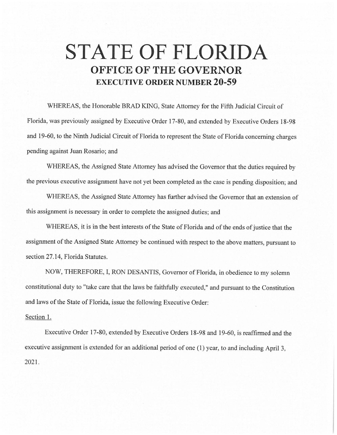## **STATE OF FLORIDA OFFICE OF THE GOVERNOR EXECUTIVE ORDER NUMBER 20-59**

WHEREAS, the Honorable BRAD KING, State Attorney for the Fifth Judicial Circuit of Florida, was previously assigned by Executive Order 17-80, and extended by Executive Orders 18-98 and 19-60, to the Ninth Judicial Circuit of Florida to represent the State of Florida concerning charges pending against Juan Rosario; and

WHEREAS, the Assigned State Attorney has advised the Governor that the duties required by the previous executive assignment have not yet been completed as the case is pending disposition; and

WHEREAS, the Assigned State Attorney has further advised the Governor that an extension of this assignment is necessary in order to complete the assigned duties; and

WHEREAS, it is in the best interests of the State of Florida and of the ends of justice that the assignment of the Assigned State Attorney be continued with respect to the above matters, pursuant to section 27.14, Florida Statutes.

NOW, THEREFORE, I, RON DESANTIS, Governor of Florida, in obedience to my solemn constitutional duty to "take care that the laws be faithfully executed," and pursuant to the Constitution and laws of the State of Florida, issue the following Executive Order:

## Section 1.

Executive Order 17-80, extended by Executive Orders 18-98 and 19-60, is reaffirmed and the executive assignment is extended for an additional period of one (1) year, to and including April 3, 2021 .